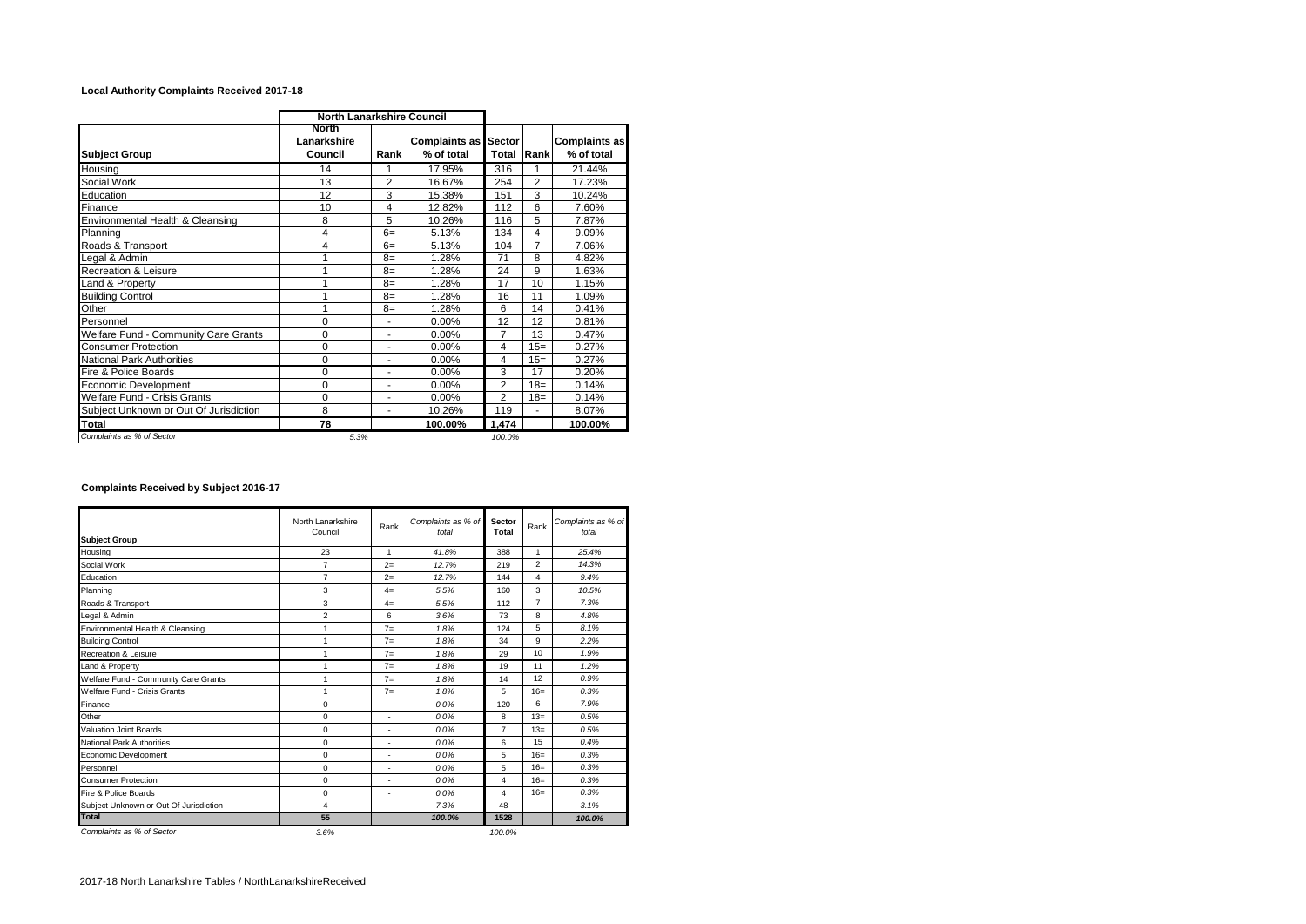## **Local Authority Complaints Received 2017-18**

|                                        | <b>North Lanarkshire Council</b> |                |                                           |                |                |                             |
|----------------------------------------|----------------------------------|----------------|-------------------------------------------|----------------|----------------|-----------------------------|
| <b>Subject Group</b>                   | North<br>Lanarkshire<br>Council  | Rank           | <b>Complaints as Sector</b><br>% of total | Total          | Rank           | Complaints as<br>% of total |
| Housing                                | 14                               | 1              | 17.95%                                    | 316            | 1              | 21.44%                      |
| Social Work                            | 13                               | $\overline{2}$ | 16.67%                                    | 254            | $\overline{2}$ | 17.23%                      |
| Education                              | 12                               | 3              | 15.38%                                    | 151            | 3              | 10.24%                      |
| Finance                                | 10                               | 4              | 12.82%                                    | 112            | 6              | 7.60%                       |
| Environmental Health & Cleansing       | 8                                | 5              | 10.26%                                    | 116            | 5              | 7.87%                       |
| Planning                               | 4                                | $6=$           | 5.13%                                     | 134            | 4              | 9.09%                       |
| Roads & Transport                      | 4                                | $6=$           | 5.13%                                     | 104            | $\overline{7}$ | 7.06%                       |
| Legal & Admin                          |                                  | $8=$           | 1.28%                                     | 71             | 8              | 4.82%                       |
| Recreation & Leisure                   |                                  | $8=$           | 1.28%                                     | 24             | 9              | 1.63%                       |
| Land & Property                        |                                  | $8=$           | 1.28%                                     | 17             | 10             | 1.15%                       |
| <b>Building Control</b>                |                                  | $8=$           | 1.28%                                     | 16             | 11             | 1.09%                       |
| Other                                  |                                  | $8=$           | 1.28%                                     | 6              | 14             | 0.41%                       |
| Personnel                              | 0                                | ٠              | 0.00%                                     | 12             | 12             | 0.81%                       |
| Welfare Fund - Community Care Grants   | 0                                | ٠              | 0.00%                                     | 7              | 13             | 0.47%                       |
| <b>Consumer Protection</b>             | 0                                | ٠              | $0.00\%$                                  | 4              | $15=$          | 0.27%                       |
| <b>National Park Authorities</b>       | 0                                | ٠              | 0.00%                                     | 4              | $15=$          | 0.27%                       |
| Fire & Police Boards                   | 0                                | ÷              | 0.00%                                     | 3              | 17             | 0.20%                       |
| Economic Development                   | 0                                | ÷              | 0.00%                                     | $\overline{2}$ | $18 =$         | 0.14%                       |
| Welfare Fund - Crisis Grants           | $\Omega$                         | ٠              | $0.00\%$                                  | $\overline{2}$ | $18=$          | 0.14%                       |
| Subject Unknown or Out Of Jurisdiction | 8                                | ٠              | 10.26%                                    | 119            | ÷              | 8.07%                       |
| Total                                  | 78                               |                | 100.00%                                   | 1.474          |                | 100.00%                     |
| Complaints as % of Sector              | 5.3%                             |                |                                           | 100.0%         |                |                             |

## **Complaints Received by Subject 2016-17**

| <b>Subject Group</b>                   | North Lanarkshire<br>Council | Rank | Complaints as % of<br>total | Sector<br>Total         | Rank           | Complaints as % of<br>total |  |
|----------------------------------------|------------------------------|------|-----------------------------|-------------------------|----------------|-----------------------------|--|
| Housing                                | 23                           | 1    | 41.8%                       | 388                     | 1              | 25.4%                       |  |
| Social Work                            | $\overline{7}$               | $2=$ | 12.7%                       | 219                     | $\overline{2}$ | 14.3%                       |  |
| Education                              | $\overline{7}$               | $2=$ | 12.7%                       | 144                     | 4              | 9.4%                        |  |
| Planning                               | 3                            | $4=$ | 5.5%                        | 160                     | 3              | 10.5%                       |  |
| Roads & Transport                      | 3                            | $4=$ | 5.5%                        | 112                     | $\overline{7}$ | 7.3%                        |  |
| Legal & Admin                          | $\overline{2}$               | 6    | 3.6%                        | 73                      | 8              | 4.8%                        |  |
| Environmental Health & Cleansing       | 1                            | $7=$ | 1.8%                        | 124                     | 5              | 8.1%                        |  |
| <b>Building Control</b>                | 1                            | $7=$ | 1.8%                        | 34                      | 9              | 2.2%                        |  |
| Recreation & Leisure                   | 1                            | $7=$ | 1.8%                        | 29                      | 10             | 1.9%                        |  |
| Land & Property                        | 1                            | $7=$ | 1.8%                        | 19                      | 11             | 1.2%                        |  |
| Welfare Fund - Community Care Grants   | 1                            | $7=$ | 1.8%                        | 14                      | 12             | 0.9%                        |  |
| Welfare Fund - Crisis Grants           | 1                            | $7=$ | 1.8%                        | 5                       | $16=$          | 0.3%                        |  |
| Finance                                | $\Omega$                     | ٠    | 0.0%                        | 120                     | 6              | 7.9%                        |  |
| Other                                  | $\mathbf 0$                  | ٠    | 0.0%                        | 8                       | $13=$          | 0.5%                        |  |
| Valuation Joint Boards                 | $\Omega$                     | ٠    | 0.0%                        | $\overline{7}$          | $13=$          | 0.5%                        |  |
| National Park Authorities              | $\mathbf 0$                  | ٠    | 0.0%                        | 6                       | 15             | 0.4%                        |  |
| Economic Development                   | $\Omega$                     | ٠    | 0.0%                        | 5                       | $16=$          | 0.3%                        |  |
| Personnel                              | $\mathbf 0$                  | ٠    | 0.0%                        | 5                       | $16=$          | 0.3%                        |  |
| <b>Consumer Protection</b>             | $\Omega$                     | ٠    | 0.0%                        | $\overline{\mathbf{4}}$ | $16=$          | 0.3%                        |  |
| Fire & Police Boards                   | $\Omega$                     | ٠    | 0.0%                        | 4                       | $16=$          | 0.3%                        |  |
| Subject Unknown or Out Of Jurisdiction | 4                            | ٠    | 7.3%                        | 48                      | ٠              | 3.1%                        |  |
| <b>Total</b>                           | 55                           |      | 100.0%                      | 1528                    |                | 100.0%                      |  |
| Complaints as % of Sector              | 3.6%                         |      |                             | 100.0%                  |                |                             |  |